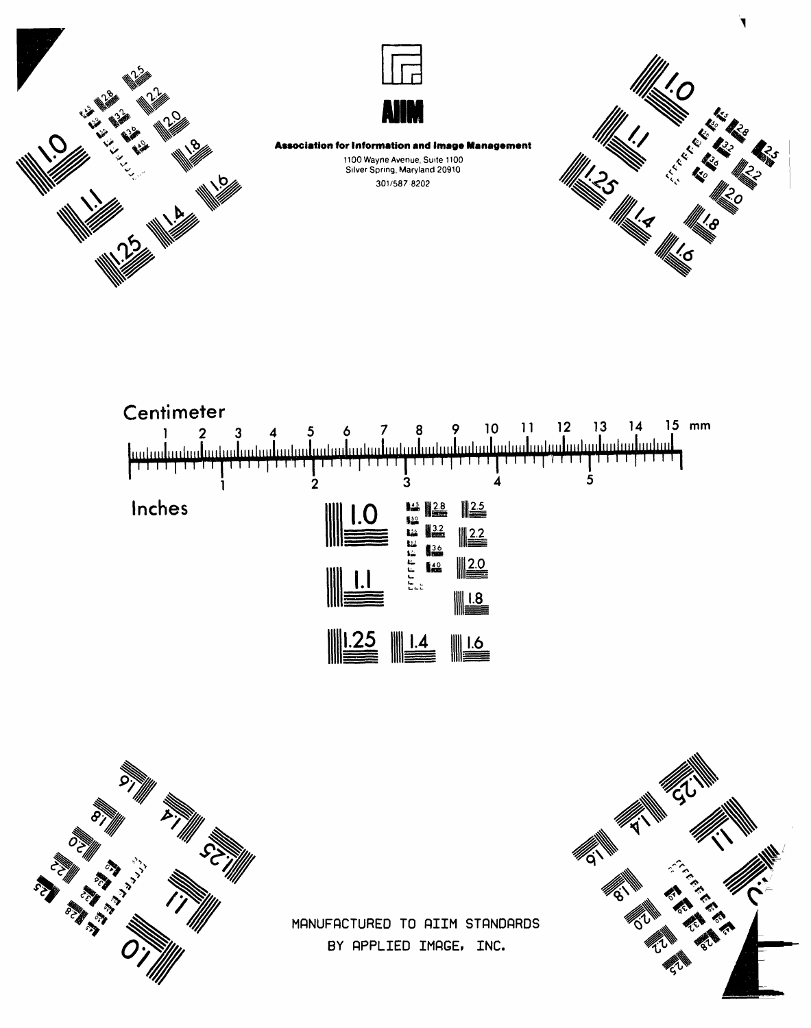





**Association for Information and Image Management** 1100 Wayne Avenue, Suite 1100<br>Silver Spring, Maryland 20910

301/587-8202



٦







MANUFACTURED TO AIIM STANDARDS BY APPLIED IMAGE, INC.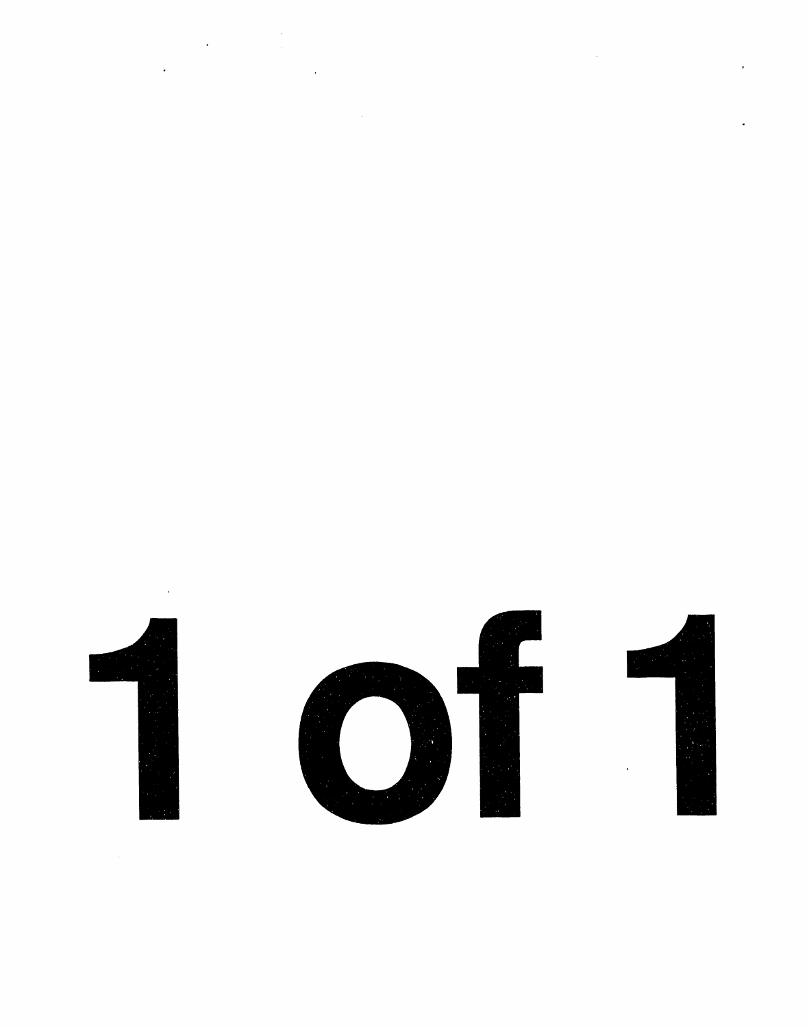$\label{eq:2.1} \mathcal{L}(\mathcal{L}) = \mathcal{L}(\mathcal{L}) \mathcal{L}(\mathcal{L}) = \mathcal{L}(\mathcal{L}) \mathcal{L}(\mathcal{L}) = \mathcal{L}(\mathcal{L}) \mathcal{L}(\mathcal{L})$ 

 $\mathcal{L}(\mathcal{L}^{\mathcal{L}})$  and  $\mathcal{L}^{\mathcal{L}}$  are  $\mathcal{L}^{\mathcal{L}}$  . In the contribution of  $\mathcal{L}^{\mathcal{L}}$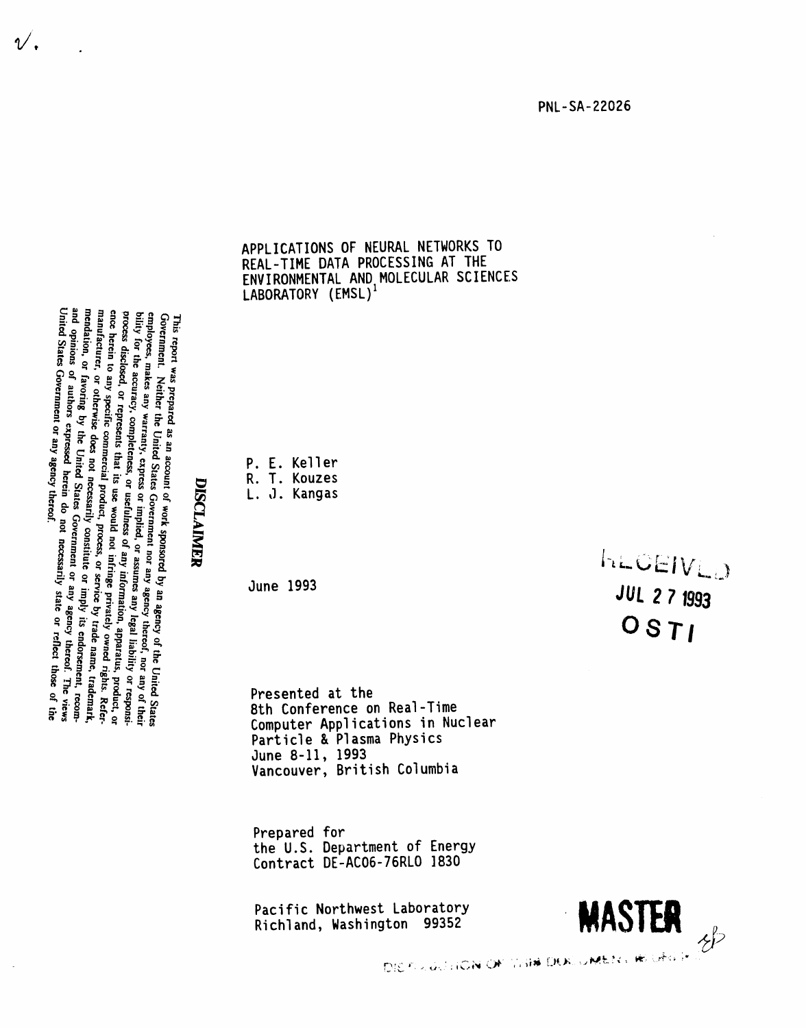and opinions of authors expressed herein do not necessarily state or reflect those of mendation, or favoring by the United States Government or any agency thereof. The views manufacturer, or otherwise does not necessarily constitute or imply its endorsement, recomence herein to any specific commercial product, process, or service by trade name, trademark, United States Government or any agency thereof. process disclosed, or represents that its use would not infringe privately owned rights. Referbility for the accuracy, completeness, or usefulness of any information, apparatus, product, or This report was prepared as an account of work sponsored by an agency of the United States Government. Neither the United States Government nor any agency of the United States employees, makes any warranty, express or implied, or assumes any legal liability or responsi-

ត្ត

 $\nu'.$ 

# **DISCLAIMER**

June 1993

P. E. Keller R. T. Kouzes

L. J. Kangas

Presented at the 8th Conference on Real-Time Computer Applications in Nuclear Particle & Plasma Physics June 8-11, 1993 Vancouver, British Columbia

APPLICATIONS OF NEURAL NETWORKS TO REAL-TIME DATA PROCESSING AT THE

ENVIRONMENTAL AND MOLECULAR SCIENCES

Prepared for the U.S. Department of Energy Contract DE-AC06-76RLO 1830

Pacific Northwest Laboratory Richland, Washington 99352



**HEGEIVLD** 

JUL 27 1993

 $OSTI$ 

**PNL-SA-22026** 

DISTURBUTION OF THE DUCH UNEST HE USE P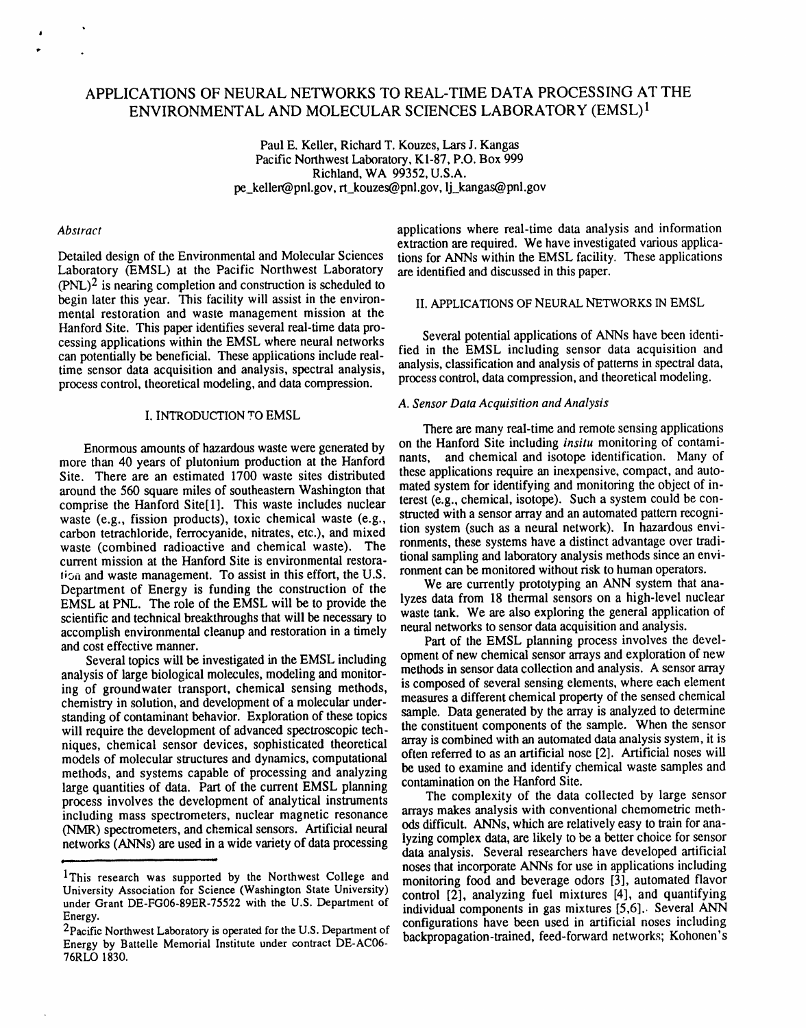# APPLICA**T**IONS OF NEURAL NETWORKS **T**O RE**A**L-**T**IME D**A**TA PROCESSING AT **T**HE ENVIRONMENTAL AND MOLECULAR SCIENCES LABORATORY (EMSL) 1

Paul E. Keller, Richard T. Kouzes,Lars J. Kangas Pacific Northwest Laboratory, KI-87, P.O. Box 999 Richland, WA 99352, U.S.A. pe\_keller@pnl.gov, rt\_kouzes@pnl.gov, lj\_kangas@pnl.gov

J

Laboratory (EMSL) at the Pacific Northwest Laboratory  $(PNL)^2$  is nearing completion and construction is scheduled to begin later this year. This facility will assist in the environmental restoration and waste management mission at the Hanford Site. This paper identifies several real-time data processing applications within the EMSL where neural networks everal potential applications of ANNs have been identi-<br>cessing applications within the EMS experiments of the EMSL including sensor data acquisition and can potentially be beneficial. These applications include real-<br>time sensor data acquisition and analysis, spectral analysis, analysis, classification and analysis of patterns in spectral data, process control, theoretical modeling, and data compression.

## I. INTRODUCTION TO EMSL

Site. There are an estimated 1700 waste sites distributed these applications require an inexpensive, compact, and auto-<br>around the 560 square miles of southeastern Washington that mated system for identifying and monitorin around the 560 square miles of southeastern Washington that therest (e.g., chemical, isotope). Such a system could be concomprise the Hanford Site[1]. This waste includes nuclear terest (e.g., chemical, isotope). Such a sy comprise the Hannold Site[1]. This waste includes nuclear term at the a sensor array and an automated pattern recogni-<br>waste (e.g., fission products), toxic chemical waste (e.g., structed with a sensor array and an automat carbon tetrachloride, ferrocyanide, nitrates, etc.), and mixed tion system (such as a neural network). In hazardous enviwaste (combined radioactive and chemical waste). The ronments, these systems have a distinct advantage over tradi-<br>current mission at the Hanford Site is environmental restore. tional sampling and laboratory analysis metho current mission at the Hanford Site is environmental restora-<br>tice and wests management. To assist in this effort, the U.S. ronment can be monitored without risk to human operators. *ti*<sub>in</sub> and waste management. To assist in this effort, the U.S. ronment can be monitored without risk to human operators.<br>Department of Energy is funding the construction of the We are currently prototyping an ANN system EMSL at PNL. The role of the EMSL will be to provide the lyzes data from 18 thermal sensors on a high-level nuclear<br>scientific and technical breakthroughs that will be necessary to waste tank. We are also exploring the gen accomplish environmental cleanup and restoration in a timely and cost effective manner.

analysis of large biological molecules, modeling and monitor-<br>ing of groundwater transport, chemical sensing methods,<br>is composed of several sensing elements, where each element<br>ting of groundwater transport, chemical sens ing of ground water transport, chemical sensing methods, measures a different chemical property of the sensed chemical chemical elements, where each element of a molecular underchemistry in solution, and development of a molecular under-<br>standing of contaminant behavior. Exploration of these topics sample. Data generated by the array is analyzed to determine standing of contaminant behavior. Exploration of these topics sample the constituent components of the sample. When the sensor will require the development of advanced spectroscopic techwill require the development of advanced spectroscopic tech-<br>niques, chemical sensor devices, sophisticated theoretical array is combined with an automated data analysis system, it is models of molecular structures and dynamics, computational often referred to as an artificial nose  $[2]$ . Artificial noses will<br>methods, and systems canable of processing and analyzing be used to examine and identify chem methods, and systems capable of processing and analyzing be used to examine and identify chemical method of the current EMSI, planning contamination on the Hanford Site. large quantities of data. Part of the current EMSL planning contamination on the Hanford Site.<br>process involves the development of analytical instruments The complexity of the data collected by large sensor process involves the development of analytical instruments arrays makes analysis with conventional chemometric meth-<br>including mass spectrometers, nuclear magnetic resonance including mass spectrometers, nuclear magnetic resonance and ods difficult. ANNs, which are relatively easy to train for analysis of conventional chemometric methods are relatively easy to train for analysis of chemometric networks (ANNs) are used in a wide variety of data processing

*Abstract* applications where real-time data analysis and information extraction are required. We have investigated various applica-Detailed design of the Environmental and Molecular Sciences tions for ANNs within the EMSL facility. These applications Laboratory (EMSL) at the Pacific Northwest Laboratory are identified and discussed in this paper.

## **II. APPLICATIONS OF NEURAL NETWORKS IN EMSL**

process control, data compression, and theoretical modeling.

### *A*. *Sensor Data Acquisition and Analysis*

There are many real-time and remote sensing applications<br>on the Hanford Site including *insitu* monitoring of contami-Enormous amounts of hazardous waste were generated by on the Hanford Site including *insitu* monitoring of contami-<br>more than 40 years of plutonium production at the Hanford nants, and chemical and isotope identification. these applications require an inexpensive, compact, and autotion system (such as a neural network). In hazardous envi-

> lyzes data from 18 thermal sensors on a high-level nuclear neural networks to sensor data acquisition and analysis.

Fractive manner.<br>Several topics will be investigated in the EMSL including opment of new chemical sensor arrays and exploration of new<br>Several topics will be investigated in the EMSL including opment of new chemical sensor methods in sensor data collection and analysis. A sensor array often referred to as an artificial nose [2]. Artificial noses will

lyzing complex data, are likely to be a better choice for sensor data analysis. Several researchers have developed artificial noses that incorporate ANNs for use in applications including<br><sup>1</sup>This research was supported by the Northwest College and<br>monitoring food and beverage odors [3], automated flavor Energy.<br><sup>2</sup> Pacific Northwest Laboratory is operated for the U.S. Department of configurations have been used in artificial noses including backpropagation-trained, feed-forward networks; Kohonen's

University Association for Science (Washington State University) control [2], analyzing fuel mixtures [4], and quantifying under Grant DE-FG06-89ER-75522 with the U.S. Department of control [2], analyzing fuel mixtures  $[4]$ , and quantifying

Energy by Battelle Memorial Institute under contract DE-AC06-76RLO 1830.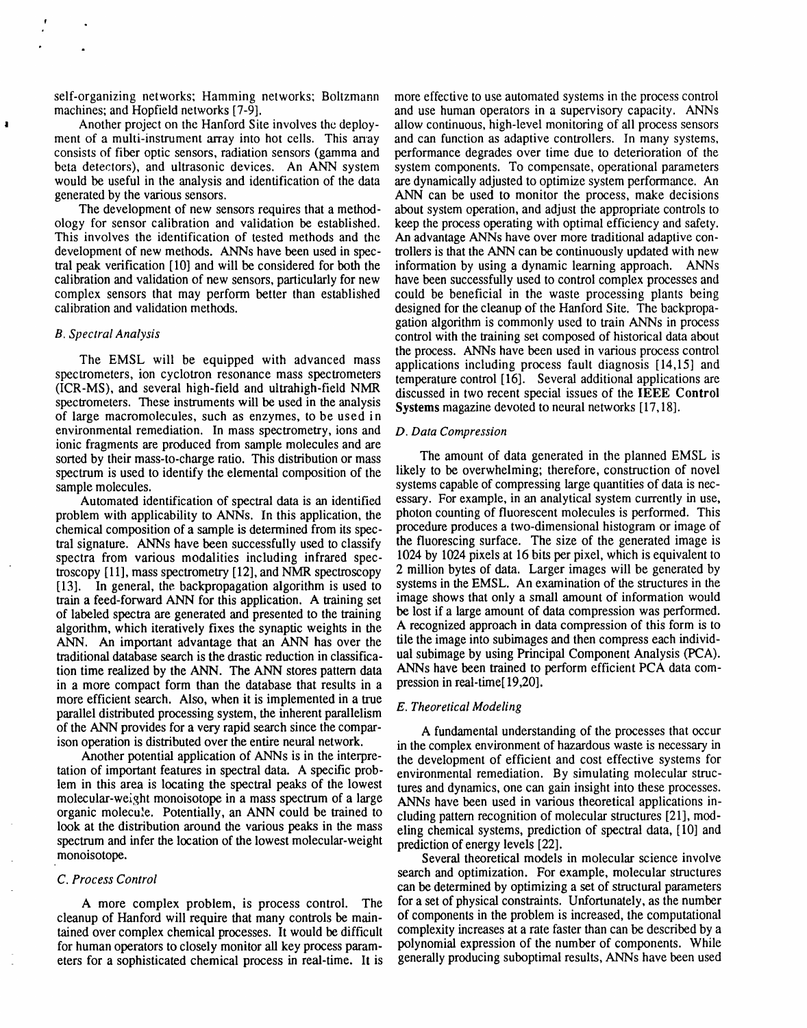ment of a multi-instrument array into hot cells. This array and can function as adaptive controllers. In many systems, consists of fiber optic sensors, radiation sensors (gamma and performance degrades over time due to det consists of fiber optic sensors, radiation sensors (gamma and performance degrades over time due to deterioration of the beta detectors), and ultrasonic devices. An ANN system system components. To compensate, operational beta detectors), and ultrasonic devices. An ANN system system components. To compensate, operational parameters would be useful in the analysis and identification of the data are dynamically adjusted to optimize system per would be useful in the analysis and identification of the data generated by the various sensors.

ology for sensor calibration and validation be established.<br>This involves the identification of tested methods and the development of new methods. ANNs have been used in spec-<br>tral peak verification [10] and will be considered for both the information by using a dynamic learning approach. ANNs tral peak verification [10] and will be considered for both the information by using a dynamic learning approach. ANNs calibration and validation of new sensors, particularly for new have been successfully used to control calibration and validation of new sensors, particularly for new have been successfully used to control complex processes and complex sensors that may perform better than established could be beneficial in the waste process complex sensors that may perform better than established calibration and validation methods.

f ,J #

> spectrometers, ion cyclotron resonance mass spectrometers temperature control [16]. Several additional applications are (ICR-MS), and several high-field and ultrahigh-field NMR discussed in two recent special issues of the (ICR-MS), and several high-field and ultrahigh-field NMR discussed in two recent special issues of the IEEE Control spectrometers. These instruments will be used in the analysis Suctoms magazing davated to payrel naturals of large macromolecules, such as enzymes, to be used in environmental remediation. In mass spectrometry, ions and *D*. *Data Compression* ionic fragments are produced from sample molecules and are sorted by their mass-to-charge ratio. This distribution or mass The amount of data generated in the planned EMSL is<br>spectrum is used to identify the elemental composition of the likely to be overwhelming; therefore, constr spectrum is used to identify the elemental composition of the sample molecules.

> problem with applicability to ANNs. In this application, the photon counting of fluorescent molecules is performed. This chemical composition of a sample is determined from its spec-<br>procedure produces a two-dimensional hi chemical composition of a sample is determined from its spec-<br>tral signature. ANNs have been successfully used to classify the fluorescing surface. The size of the generated image is tral signature. ANNs have been successfully used to classify the fluorescing surface. The size of the generated image is<br>spectra from various modalities including infrared spec. 1024 by 1024 pixels at 16 bits per pixel, wh spectra from various modalities including infrared spec-  $1024$  by 1024 pixels at 16 bits per pixel, which is equivalent to troscopy 111 mass spectrometry 1121 and NMR spectroscopy 2 million bytes of data. Larger images w troscopy [11], mass spectrometry [12], and NMR spectroscopy 2 million bytes of data. Larger images will be generated by<br>[13] In general, the backpropagation algorithm is used to systems in the EMSL. An examination of the s [13]. In general, the backpropagation algorithm is used to systems in the EMSL. An examination of the structures in the train a feed-forward ANN for this application. A training set image shows that only a small amount of information would<br>of labeled spectra are generated and presented to the training be lost if a large amount of data compr of labeled spectra are generated and presented to the training be lost if a large amount of data compression was performed.<br>algorithm, which iteratively fixes the synaptic weights in the A recognized approach in data compr algorithm, which iteratively fixes the synaptic weights in the A recognized approach in data compression of this form is to<br>ANN An important advantage that an ANN has over the tile the image into subimages and then compres ANN. An important advantage that an ANN has over the tile the image into subimages and then compress each individ-<br>traditional database search is the drastic reduction in classifica- ual subimage by using Principal Compone traditional database search is the drastic reduction in classifica-<br>tion time realized by the ANN. The ANN stores pattern data<br>ANNs have been trained to perform efficient PCA data comtion time realized by the ANN. The ANN stores pattern data ANNs have been trained to in a more compact form than the data base that results in a pression in real-time [19,20]. in a more compact form than the database that results in a more efficient search. Also, when it is implemented in a true more efficient search. Also, when it is implemented in a true *E*. *Theoretical Modeling* parallel distributed processing system, the inherent parallelism of the ANN provides for a very rapid search since the comparof the ANN provides for a very rapid search since the compar-<br>
> ison operation is distributed over the entire neural network.<br>
> in the complex environment of hazardous waste is necessary in

> Another potential application of ANNs is in the interpre-<br>the development of efficient and cost effective systems for<br>tation of important features in spectral data. A specific prob-<br>environmental remediation. By simulating tation of important features in spectral data. A specific prob-<br>lem in this area is locating the spectral peaks of the lowest tures and dynamics, one can gain insight into these processes. lem in this area is locating the spectral peaks of the lowest tures and dynamics, one can gain insight into these processes.<br>molecular-weight monoisotope in a mass spectrum of a large ANNs have been used in various theoret molecular-weight monoisotope in a mass spectrum of a large ANNs have been used in various theoretical applications in-<br>organic molecule. Potentially, an ANN could be trained to cluding pattern recognition of molecular stru organic molecule. Potentially, an ANN could be trained to cluding pattern recognition of molecular structures [21], mod-<br>look at the distribution around the various peaks in the mass eling chemical systems, prediction of spectrum and infer the location of the lowest molecular-weight monoisotope.

cleanup of Hanford will require that many controls be main-<br>tained over complex chemical processes. It would be difficulted complexity increases at a rate faster than can be described by a tained over complex chemical processes. It would be difficult complexity increases at a rate faster than can be described by a<br>for human operators to closely monitor all key process param-<br>polynomial expression of the numb for human operators to closely monitor all key process param-<br>eters for a sophisticated chemical process in real-time. It is generally producing suboptimal results, ANNs have been used eters for a sophisticated chemical process in real-time. It is

self-organizing networks; Hamming networks; Boltzmann more effective to use automated systems in the process control<br>machines: and Hopfield networks [7-9]. <br>and use human operators in a supervisory capacity. ANNs hines; and Hopfield networks [7-9]. and use human operators in a supervisory capacity. ANNs<br>Another project on the Hanford Site involves the deploy- allow continuous, high-level monitoring of all process sensors allow continuous, high-level monitoring of all process sensors and can function as adaptive controllers. In many systems, rated by the various sensors.<br>The development of new sensors requires that a method-<br>about system operation, and adjust the appropriate controls to about system operation, and adjust the appropriate controls to keep the process operating with optimal efficiency and safety. An advantage ANNs have over more traditional adaptive controllers is that the ANN can be continuously updated with new designed for the cleanup of the Hanford Site. The backpropagation algorithm is commonly used to train ANNs in process *B*. *Spectral Analysis* control with the training set composed of historical data about the process. ANNs have been used in various process control The EMSL will be equipped with advanced mass applications including process fault diagnosis  $[14,15]$  and  $[16]$  and  $[16]$  and  $[16]$ . Several edditional embigrations are Systems magazine devoted to neural networks [17,18].

systems capable of compressing large quantities of data is necessary. For example, in an analytical system currently in use, Automated identification of spectral data is an identified essary. For example, in an analytical system currently in use,<br>lem with applicability to ANNs. In this application, the photon counting of fluorescent molecules is

operation is distributed over the entire neural network, in the complex environment of hazardous waste is necessary in<br>Another potential application of ANNs is in the interpre-<br>the development of efficient and cost effecti eling chemical systems, prediction of spectral data, [10] and prediction of energy levels [22].

Several theoretical models in molecular science involve *C*. *Process Control* search and optimization. For example, molecular structures A more complex problem, is process control. The for a set of physical constraints. Unfortunately, as the number<br>nup of Hanford will require that many controls be main-of components in the problem is increased, the computat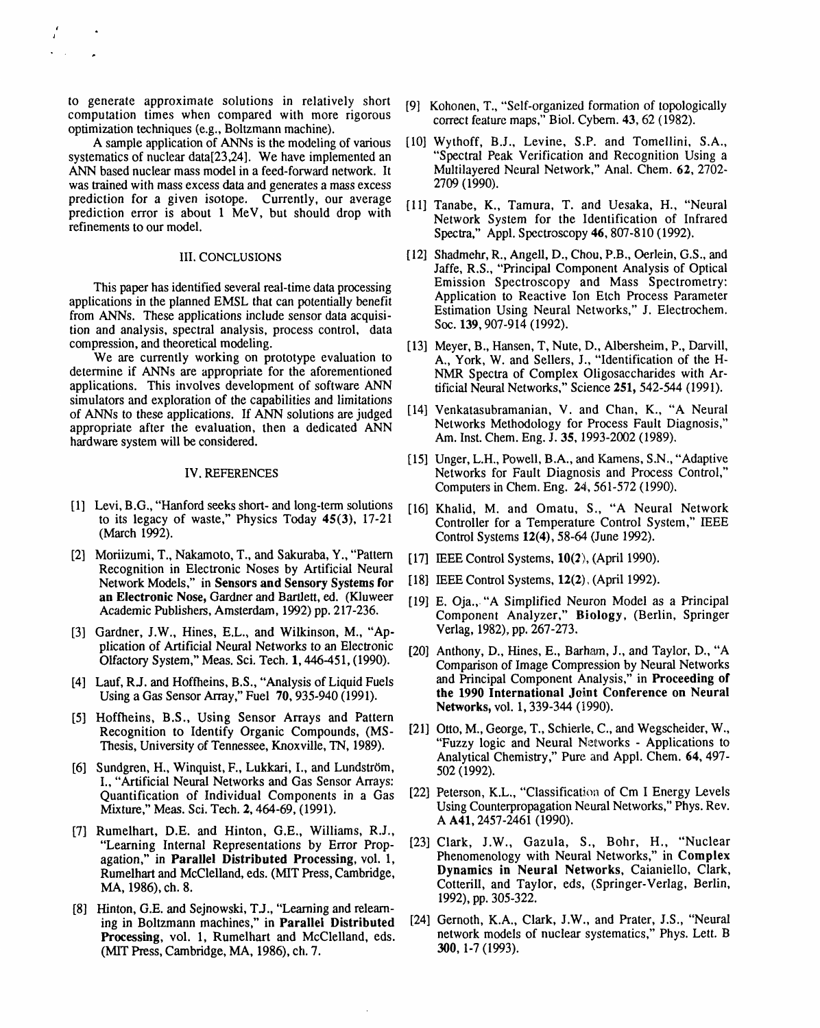to generate approximate solutions in relatively short [9] Kohonen, T., "Self-organized formation of topologically computation times when compared with more rigorous correct forture mans " Biol Cybern 43.62 (1982) optimization techniques (e.g., Boltzmann machine).

4 • ,*/*

> systematics of nuclear data[23,24]. We have implemented an "Spectral Peak Verification and Recognition Using a<br>ANN based nuclear mass model in a feed-forward network. It Multilayered Neural Network," Anal. Chem. 62, 2702-ANN based nuclear mass model in a feed-forward network. It Multilayered<br>was trained with mass excess data and generates a mass excess 2709 (1990). was trained with mass excess data and generates a mass excess prediction for a given isotope. Currently, our average prediction for a given isotope. Currently, our average [11] Tanabe, K., Tamura, T. and Uesaka, H., "Neural prediction error is about 1 MeV, but should drop with prediction error is about 1 MeV, but should drop with Network System for the Identification of Infrared refinements to our model.

applications in the planned EMSL that can potentially benefit application to Reactive Ion Etch Process Parameter<br>Estimation Using Neural Networks," J. Electrochem. from ANNs. These applications include sensor data acquisi-<br>
Soc. 139, 907-914 (1992). tion and analysis, spectral analysis, process control, data compression, and theoretical modeling.

We are currently working on prototype evaluation to A., York, W. and Sellers, J., "Identification of the H-<br>determine if ANNs are appropriate for the aforementioned NMR Spectra of Complex Oligosaccharides with Ardetermine if ANNs are appropriate for the aforementioned NMR Spectra of Complex Oligosaccharides with Ar-<br>applications. This involves development of software ANN tificial Neural Networks." Science 251, 542-544 (1991) simulators and exploration of the capabilities and limitations of ANNs to these applications. If ANN solutions are judged [14] Venkatasubramanian, V. and Chan, K., "A Neural<br>appropriate after the evaluation then a dedicated ANN Networks Methodology for Process Fault Diagnosis," appropriate after the evaluation, then a dedicated  $\overrightarrow{ANN}$  Networks Methodology for Process Fault Diagnosis, Networks Methodology for Process Fault Diagnosis, Networks Methodology for Process Fault Diagnosis, Networks Me hardware system will be considered.

- [1] Levi, B.G., "Hanford seeks short- and long-term solutions [16] Khalid, M. and Omatu, S., "A Neural Network to its legacy of waste," Physics Today 45(3), 17-21 Controller for a Temperature Control System " IEEE
- [2] Moriizumi, T., Nakamoto, T., and Sakuraba, Y., "Pattern [17] IEEE Control Systems, 10(2), (April 1990). Recognition in Electronic Noses by Artificial Neural Network Models," in Sensors and Sensory Systems for [18] IEEE Control Systems, 12(2), (April 1992).<br>an Electronic Nose, Gardner and Bartlett, ed. (Kluweer [10] E. Oie. "A Simplified Neuron Model at
- [3] Gardner, J.W., Hines, E.L., and Wilkinson, M., "Application of Artificial Neural Networks to an Electronic
- Using a Gas Sensor Array," Fuel  $70$ , 935-940 (1991).
- [5] Hoffheins, B.S., Using Sensor Arrays and Pattern Thesis, University of Tennessee, Knoxville, TN, 1989).
- [6] Sundgren, H., Winquist, F., Lukkari, I., and Lundström, I., "Artificial Neural Networks and Gas Sensor Arrays: Quantification of Individual Components in a Gas [22] Peterson, K.L., "Classification of Cm I Energy Levels<br>Mixture "Meas Sci Tech 2, 464-69 (1991) Using Counterpropagation Neural Networks," Phys. Rev. Mixture," Meas. Sci. Tech. 2, 464-69, (1991).
- [7] Rumelhart, D.E. and Hinton, G.E., Williams, R.J., "Learning Internal Representations by Error Prop- [23] Clark, J.W., Gazula, S., Bohr, H., "Nuclear<br>agation" in Parallel Distributed Processing vol 1 Phenomenology with Neural Networks," in Complex Rumelhart and McClelland, eds. (MIT Press, Cambridge, MA, 1986), ch. 8.
- [8] Hinton, G.E. and Sejnowski, T.J., "Learning and relearn-**Processing, vol. 1, Rumelhart and McClelland, eds. network models of nuclear systematic method. The numerical st<br>MIT Press. Cambridge, MA 1986), ch. 7. Cambridge 300, 1-7 (1993).** (MIT Press, Cambridge, MA, 1986), ch. 7.
- correct feature maps," Biol. Cybern. 43, 62 (1982).
- A sample application of ANNs is the modeling of various [10] Wythoff, B.J., Levine, S.P. and Tomellini, S.A., hermatics of nuclear data [23.24]. We have implemented an "Spectral Peak Verification and Recognition Using a
	- Spectra," Appl. Spectroscopy 46, 807-810 (1992).
- III. CONCLUSIONS [12] Shadmehr, R., Angell, D., Chou, P.B., Oerlein, G.S., and Jaffe, R.S., "Principal Component Analysis of Optical Emission Spectroscopy and Mass Spectrometry: This paper has identified several real-time da**t**a processing Emission Spectroscopy and Mass Spectrometry:
- pression, and theoretical modeling.<br>We are currently working on prototype evaluation to a larger Nork W and Sellers. L. "Identification of the Htificial Neural Networks," Science 251, 542-544 (1991).
	-
	- [15] Unger,L.H., Powell, B.A., a*r*id Karnens, S.N., "Adaptive IV. REFERENCES Networks for Fault Diagnosis and Process Control," Computers in Chem. Eng. 24,561-572 (1990).
- to its legacy of waste," Physics Today 45(3), 17-21 Controller for a Temperature Control System," IEEE (March 1992).<br>Control Systems 12(4) 58-64 (June 1992). Control Systems 12(4), 58-64 (June 1992).
	-
	-
- an Electronic Nose, Gardner and Bartlett, ed. (Kluweer [19] E. Oja., "A Simplified Neuron Model as a Principal<br>Academic Publishers, Amsterdam, 1992) pp. 217-236. [Component Analyzer " Biology (Berlin, Springer Component Analyzer," Biology, (Berlin, Springer Verlag, 1982), pp. 267-273.
- plication of Artificial Neu*r*al Networks to an Electronic [20] Anthony, D., Hines, E., Barham, J., and Taylor, D., "A Comparison of Image Compression by Neural Networks<br>and Principal Component Analysis," in **Proceeding of** [4] Lauf, R.J. and Hoffheins, B.S., "Analysis of Liquid Fuels and Principal Component Analysis," in Proceeding of<br>Ising a Gas Sensor Array," Fuel 70, 935-940 (1991) the 1990 International Joint Conference on Neural Networks, vol. 1,339-344 (i990).
	- Recognition to Identify Organic Compounds, (MS- [21] Otto, M., George, T., Schierle, C., and Wegscheider, W., Thesis I Iniversity of Tennessee Knoxville TN 1989) "Fuzzy logic and Neural Networks Applications to Analytical Chemistry," Pure and Appl. Chem. 64, 497-502 (1992).
		- A A41, 2457-2461 (1990).
	- agation," in **Parallel Distributed Processing**, vol. 1, Phenomenology with Neural Networks," in Complex<br>Rumelhart and McClelland eds. (MIT Press. Cambridge. Pynamics in Neural Networks, Caianiello, Clark, Cotterill, and Taylor, eds, (Springer-Verlag, Berlin, 1992),pp. 305-322.
	- ing in Boltzmann machines," in Parallel Distributed [24] Gernoth, K.A., Clark, J.W., and Prater, J.S., "Neural<br>Processing vol. 1. Rumelhart and McClelland eds entwork models of nuclear systematics," Phys. Lett. B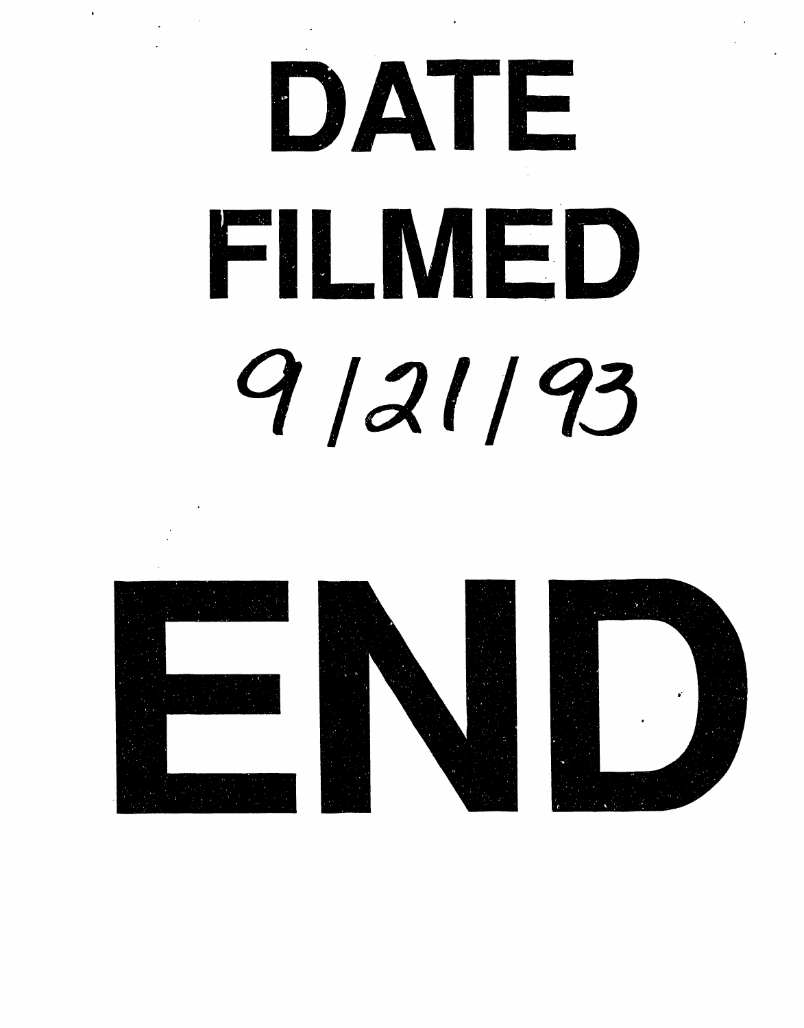